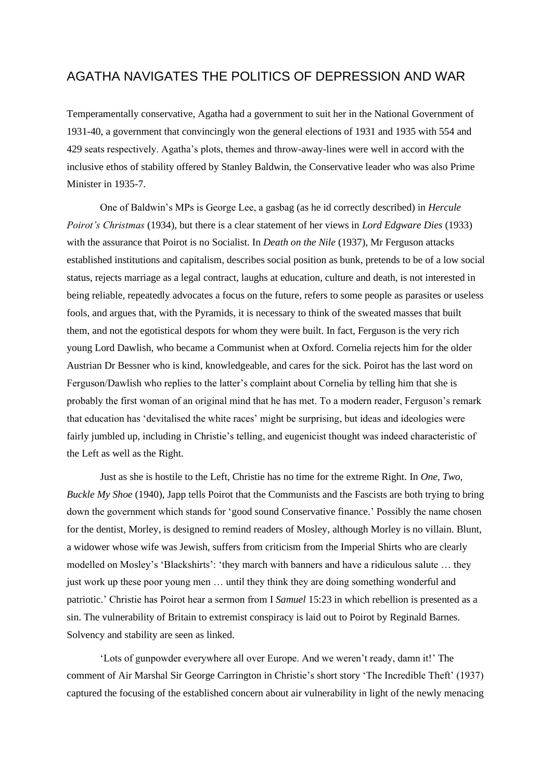## AGATHA NAVIGATES THE POLITICS OF DEPRESSION AND WAR

Temperamentally conservative, Agatha had a government to suit her in the National Government of 1931-40, a government that convincingly won the general elections of 1931 and 1935 with 554 and 429 seats respectively. Agatha's plots, themes and throw-away-lines were well in accord with the inclusive ethos of stability offered by Stanley Baldwin, the Conservative leader who was also Prime Minister in 1935-7.

One of Baldwin's MPs is George Lee, a gasbag (as he id correctly described) in *Hercule Poirot's Christmas* (1934), but there is a clear statement of her views in *Lord Edgware Dies* (1933) with the assurance that Poirot is no Socialist. In *Death on the Nile* (1937), Mr Ferguson attacks established institutions and capitalism, describes social position as bunk, pretends to be of a low social status, rejects marriage as a legal contract, laughs at education, culture and death, is not interested in being reliable, repeatedly advocates a focus on the future, refers to some people as parasites or useless fools, and argues that, with the Pyramids, it is necessary to think of the sweated masses that built them, and not the egotistical despots for whom they were built. In fact, Ferguson is the very rich young Lord Dawlish, who became a Communist when at Oxford. Cornelia rejects him for the older Austrian Dr Bessner who is kind, knowledgeable, and cares for the sick. Poirot has the last word on Ferguson/Dawlish who replies to the latter's complaint about Cornelia by telling him that she is probably the first woman of an original mind that he has met. To a modern reader, Ferguson's remark that education has 'devitalised the white races' might be surprising, but ideas and ideologies were fairly jumbled up, including in Christie's telling, and eugenicist thought was indeed characteristic of the Left as well as the Right.

Just as she is hostile to the Left, Christie has no time for the extreme Right. In *One, Two, Buckle My Shoe* (1940), Japp tells Poirot that the Communists and the Fascists are both trying to bring down the government which stands for 'good sound Conservative finance.' Possibly the name chosen for the dentist, Morley, is designed to remind readers of Mosley, although Morley is no villain. Blunt, a widower whose wife was Jewish, suffers from criticism from the Imperial Shirts who are clearly modelled on Mosley's 'Blackshirts': 'they march with banners and have a ridiculous salute … they just work up these poor young men … until they think they are doing something wonderful and patriotic.' Christie has Poirot hear a sermon from I *Samuel* 15:23 in which rebellion is presented as a sin. The vulnerability of Britain to extremist conspiracy is laid out to Poirot by Reginald Barnes. Solvency and stability are seen as linked.

'Lots of gunpowder everywhere all over Europe. And we weren't ready, damn it!' The comment of Air Marshal Sir George Carrington in Christie's short story 'The Incredible Theft' (1937) captured the focusing of the established concern about air vulnerability in light of the newly menacing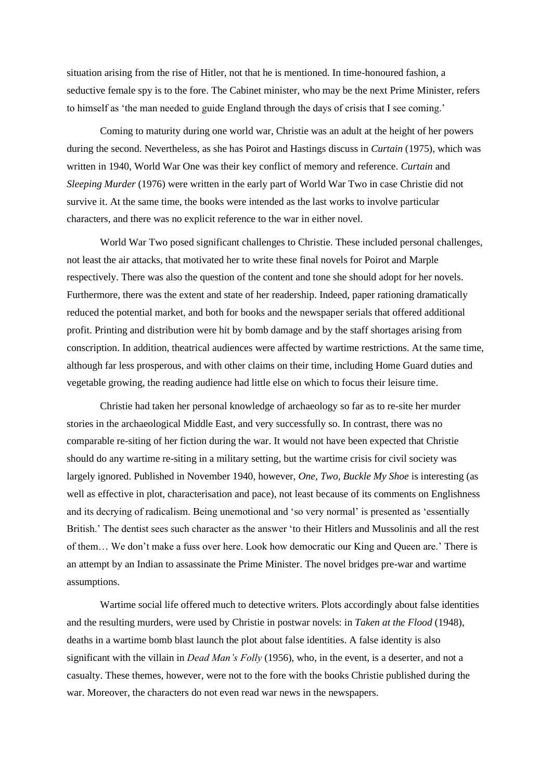situation arising from the rise of Hitler, not that he is mentioned. In time-honoured fashion, a seductive female spy is to the fore. The Cabinet minister, who may be the next Prime Minister, refers to himself as 'the man needed to guide England through the days of crisis that I see coming.'

Coming to maturity during one world war, Christie was an adult at the height of her powers during the second. Nevertheless, as she has Poirot and Hastings discuss in *Curtain* (1975), which was written in 1940, World War One was their key conflict of memory and reference. *Curtain* and *Sleeping Murder* (1976) were written in the early part of World War Two in case Christie did not survive it. At the same time, the books were intended as the last works to involve particular characters, and there was no explicit reference to the war in either novel.

World War Two posed significant challenges to Christie. These included personal challenges, not least the air attacks, that motivated her to write these final novels for Poirot and Marple respectively. There was also the question of the content and tone she should adopt for her novels. Furthermore, there was the extent and state of her readership. Indeed, paper rationing dramatically reduced the potential market, and both for books and the newspaper serials that offered additional profit. Printing and distribution were hit by bomb damage and by the staff shortages arising from conscription. In addition, theatrical audiences were affected by wartime restrictions. At the same time, although far less prosperous, and with other claims on their time, including Home Guard duties and vegetable growing, the reading audience had little else on which to focus their leisure time.

Christie had taken her personal knowledge of archaeology so far as to re-site her murder stories in the archaeological Middle East, and very successfully so. In contrast, there was no comparable re-siting of her fiction during the war. It would not have been expected that Christie should do any wartime re-siting in a military setting, but the wartime crisis for civil society was largely ignored. Published in November 1940, however, *One, Two, Buckle My Shoe* is interesting (as well as effective in plot, characterisation and pace), not least because of its comments on Englishness and its decrying of radicalism. Being unemotional and 'so very normal' is presented as 'essentially British.' The dentist sees such character as the answer 'to their Hitlers and Mussolinis and all the rest of them… We don't make a fuss over here. Look how democratic our King and Queen are.' There is an attempt by an Indian to assassinate the Prime Minister. The novel bridges pre-war and wartime assumptions.

Wartime social life offered much to detective writers. Plots accordingly about false identities and the resulting murders, were used by Christie in postwar novels: in *Taken at the Flood* (1948), deaths in a wartime bomb blast launch the plot about false identities. A false identity is also significant with the villain in *Dead Man's Folly* (1956), who, in the event, is a deserter, and not a casualty. These themes, however, were not to the fore with the books Christie published during the war. Moreover, the characters do not even read war news in the newspapers.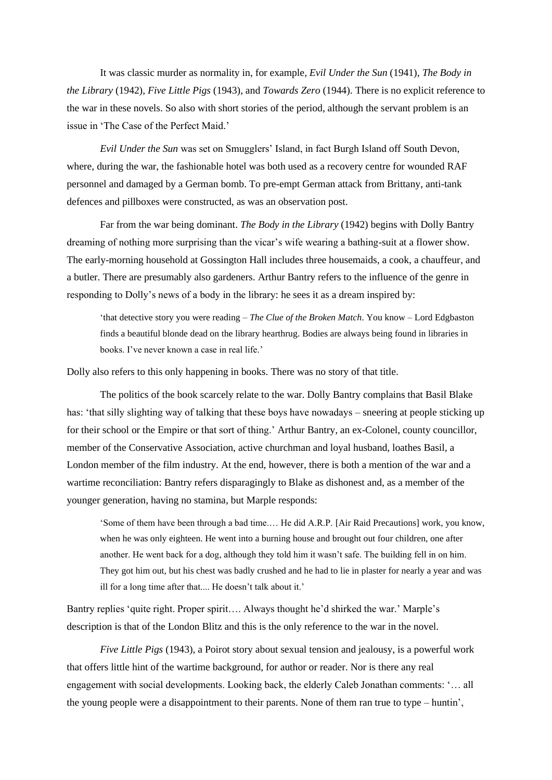It was classic murder as normality in, for example, *Evil Under the Sun* (1941), *The Body in the Library* (1942), *Five Little Pigs* (1943), and *Towards Zero* (1944). There is no explicit reference to the war in these novels. So also with short stories of the period, although the servant problem is an issue in 'The Case of the Perfect Maid.'

*Evil Under the Sun* was set on Smugglers' Island, in fact Burgh Island off South Devon, where, during the war, the fashionable hotel was both used as a recovery centre for wounded RAF personnel and damaged by a German bomb. To pre-empt German attack from Brittany, anti-tank defences and pillboxes were constructed, as was an observation post.

Far from the war being dominant. *The Body in the Library* (1942) begins with Dolly Bantry dreaming of nothing more surprising than the vicar's wife wearing a bathing-suit at a flower show. The early-morning household at Gossington Hall includes three housemaids, a cook, a chauffeur, and a butler. There are presumably also gardeners. Arthur Bantry refers to the influence of the genre in responding to Dolly's news of a body in the library: he sees it as a dream inspired by:

'that detective story you were reading – *The Clue of the Broken Match*. You know – Lord Edgbaston finds a beautiful blonde dead on the library hearthrug. Bodies are always being found in libraries in books. I've never known a case in real life.'

Dolly also refers to this only happening in books. There was no story of that title.

The politics of the book scarcely relate to the war. Dolly Bantry complains that Basil Blake has: 'that silly slighting way of talking that these boys have nowadays – sneering at people sticking up for their school or the Empire or that sort of thing.' Arthur Bantry, an ex-Colonel, county councillor, member of the Conservative Association, active churchman and loyal husband, loathes Basil, a London member of the film industry. At the end, however, there is both a mention of the war and a wartime reconciliation: Bantry refers disparagingly to Blake as dishonest and, as a member of the younger generation, having no stamina, but Marple responds:

'Some of them have been through a bad time.… He did A.R.P. [Air Raid Precautions] work, you know, when he was only eighteen. He went into a burning house and brought out four children, one after another. He went back for a dog, although they told him it wasn't safe. The building fell in on him. They got him out, but his chest was badly crushed and he had to lie in plaster for nearly a year and was ill for a long time after that.... He doesn't talk about it.'

Bantry replies 'quite right. Proper spirit…. Always thought he'd shirked the war.' Marple's description is that of the London Blitz and this is the only reference to the war in the novel.

*Five Little Pigs* (1943), a Poirot story about sexual tension and jealousy, is a powerful work that offers little hint of the wartime background, for author or reader. Nor is there any real engagement with social developments. Looking back, the elderly Caleb Jonathan comments: '… all the young people were a disappointment to their parents. None of them ran true to type – huntin',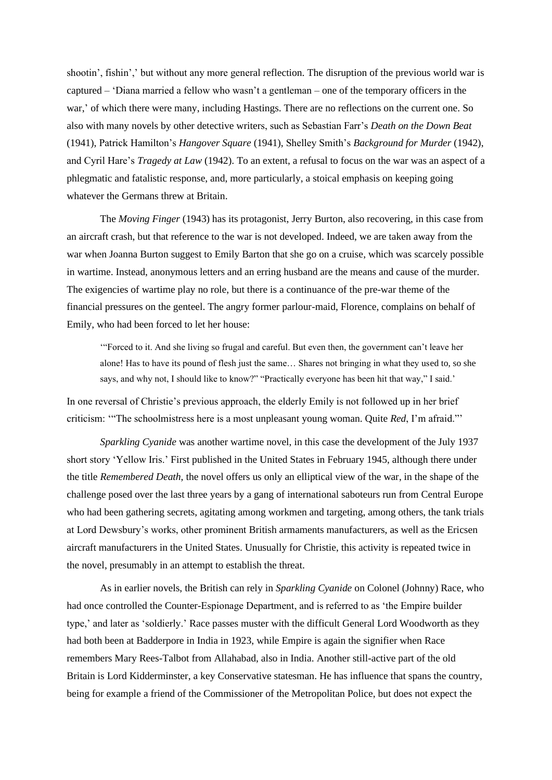shootin', fishin',' but without any more general reflection. The disruption of the previous world war is captured – 'Diana married a fellow who wasn't a gentleman – one of the temporary officers in the war,' of which there were many, including Hastings. There are no reflections on the current one. So also with many novels by other detective writers, such as Sebastian Farr's *Death on the Down Beat* (1941), Patrick Hamilton's *Hangover Square* (1941), Shelley Smith's *Background for Murder* (1942), and Cyril Hare's *Tragedy at Law* (1942). To an extent, a refusal to focus on the war was an aspect of a phlegmatic and fatalistic response, and, more particularly, a stoical emphasis on keeping going whatever the Germans threw at Britain.

The *Moving Finger* (1943) has its protagonist, Jerry Burton, also recovering, in this case from an aircraft crash, but that reference to the war is not developed. Indeed, we are taken away from the war when Joanna Burton suggest to Emily Barton that she go on a cruise, which was scarcely possible in wartime. Instead, anonymous letters and an erring husband are the means and cause of the murder. The exigencies of wartime play no role, but there is a continuance of the pre-war theme of the financial pressures on the genteel. The angry former parlour-maid, Florence, complains on behalf of Emily, who had been forced to let her house:

'"Forced to it. And she living so frugal and careful. But even then, the government can't leave her alone! Has to have its pound of flesh just the same… Shares not bringing in what they used to, so she says, and why not, I should like to know?" "Practically everyone has been hit that way," I said.'

In one reversal of Christie's previous approach, the elderly Emily is not followed up in her brief criticism: '"The schoolmistress here is a most unpleasant young woman. Quite *Red*, I'm afraid."'

*Sparkling Cyanide* was another wartime novel, in this case the development of the July 1937 short story 'Yellow Iris.' First published in the United States in February 1945, although there under the title *Remembered Death*, the novel offers us only an elliptical view of the war, in the shape of the challenge posed over the last three years by a gang of international saboteurs run from Central Europe who had been gathering secrets, agitating among workmen and targeting, among others, the tank trials at Lord Dewsbury's works, other prominent British armaments manufacturers, as well as the Ericsen aircraft manufacturers in the United States. Unusually for Christie, this activity is repeated twice in the novel, presumably in an attempt to establish the threat.

As in earlier novels, the British can rely in *Sparkling Cyanide* on Colonel (Johnny) Race, who had once controlled the Counter-Espionage Department, and is referred to as 'the Empire builder type,' and later as 'soldierly.' Race passes muster with the difficult General Lord Woodworth as they had both been at Badderpore in India in 1923, while Empire is again the signifier when Race remembers Mary Rees-Talbot from Allahabad, also in India. Another still-active part of the old Britain is Lord Kidderminster, a key Conservative statesman. He has influence that spans the country, being for example a friend of the Commissioner of the Metropolitan Police, but does not expect the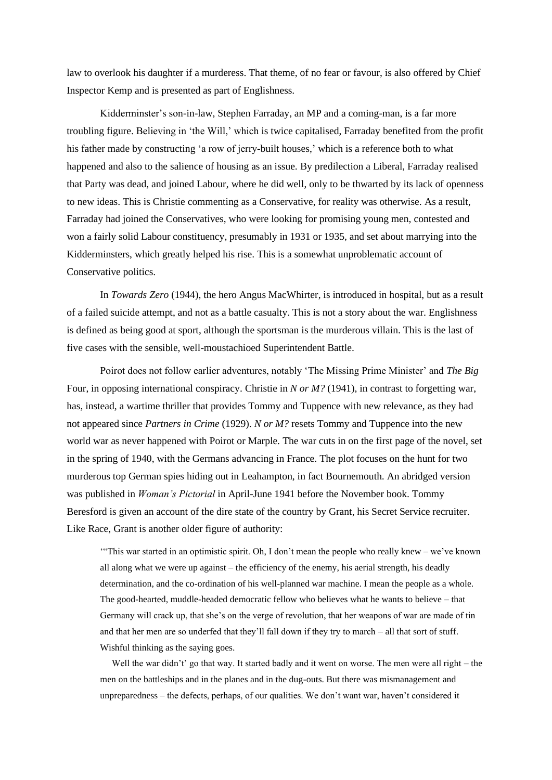law to overlook his daughter if a murderess. That theme, of no fear or favour, is also offered by Chief Inspector Kemp and is presented as part of Englishness.

Kidderminster's son-in-law, Stephen Farraday, an MP and a coming-man, is a far more troubling figure. Believing in 'the Will,' which is twice capitalised, Farraday benefited from the profit his father made by constructing 'a row of jerry-built houses,' which is a reference both to what happened and also to the salience of housing as an issue. By predilection a Liberal, Farraday realised that Party was dead, and joined Labour, where he did well, only to be thwarted by its lack of openness to new ideas. This is Christie commenting as a Conservative, for reality was otherwise. As a result, Farraday had joined the Conservatives, who were looking for promising young men, contested and won a fairly solid Labour constituency, presumably in 1931 or 1935, and set about marrying into the Kidderminsters, which greatly helped his rise. This is a somewhat unproblematic account of Conservative politics.

In *Towards Zero* (1944), the hero Angus MacWhirter, is introduced in hospital, but as a result of a failed suicide attempt, and not as a battle casualty. This is not a story about the war. Englishness is defined as being good at sport, although the sportsman is the murderous villain. This is the last of five cases with the sensible, well-moustachioed Superintendent Battle.

Poirot does not follow earlier adventures, notably 'The Missing Prime Minister' and *The Big*  Four, in opposing international conspiracy. Christie in *N or M?* (1941), in contrast to forgetting war, has, instead, a wartime thriller that provides Tommy and Tuppence with new relevance, as they had not appeared since *Partners in Crime* (1929). *N or M?* resets Tommy and Tuppence into the new world war as never happened with Poirot or Marple. The war cuts in on the first page of the novel, set in the spring of 1940, with the Germans advancing in France. The plot focuses on the hunt for two murderous top German spies hiding out in Leahampton, in fact Bournemouth. An abridged version was published in *Woman's Pictorial* in April-June 1941 before the November book. Tommy Beresford is given an account of the dire state of the country by Grant, his Secret Service recruiter. Like Race, Grant is another older figure of authority:

'"This war started in an optimistic spirit. Oh, I don't mean the people who really knew – we've known all along what we were up against – the efficiency of the enemy, his aerial strength, his deadly determination, and the co-ordination of his well-planned war machine. I mean the people as a whole. The good-hearted, muddle-headed democratic fellow who believes what he wants to believe – that Germany will crack up, that she's on the verge of revolution, that her weapons of war are made of tin and that her men are so underfed that they'll fall down if they try to march – all that sort of stuff. Wishful thinking as the saying goes.

Well the war didn't' go that way. It started badly and it went on worse. The men were all right – the men on the battleships and in the planes and in the dug-outs. But there was mismanagement and unpreparedness – the defects, perhaps, of our qualities. We don't want war, haven't considered it